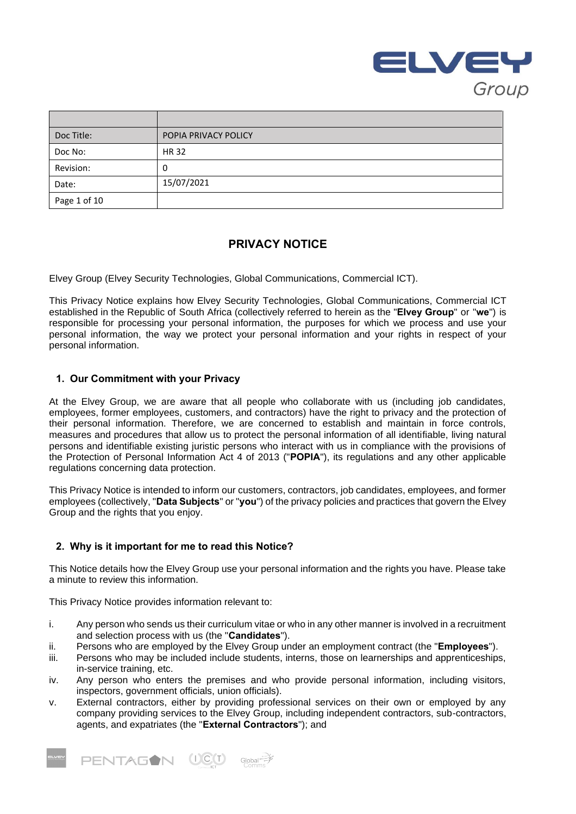

| Doc Title:   | POPIA PRIVACY POLICY |
|--------------|----------------------|
| Doc No:      | <b>HR32</b>          |
| Revision:    | 0                    |
| Date:        | 15/07/2021           |
| Page 1 of 10 |                      |

# **PRIVACY NOTICE**

Elvey Group (Elvey Security Technologies, Global Communications, Commercial ICT).

This Privacy Notice explains how Elvey Security Technologies, Global Communications, Commercial ICT established in the Republic of South Africa (collectively referred to herein as the "**Elvey Group**" or "**we**") is responsible for processing your personal information, the purposes for which we process and use your personal information, the way we protect your personal information and your rights in respect of your personal information.

# **1. Our Commitment with your Privacy**

At the Elvey Group, we are aware that all people who collaborate with us (including job candidates, employees, former employees, customers, and contractors) have the right to privacy and the protection of their personal information. Therefore, we are concerned to establish and maintain in force controls, measures and procedures that allow us to protect the personal information of all identifiable, living natural persons and identifiable existing juristic persons who interact with us in compliance with the provisions of the Protection of Personal Information Act 4 of 2013 ("**POPIA**"), its regulations and any other applicable regulations concerning data protection.

This Privacy Notice is intended to inform our customers, contractors, job candidates, employees, and former employees (collectively, "**Data Subjects**" or "**you**") of the privacy policies and practices that govern the Elvey Group and the rights that you enjoy.

# **2. Why is it important for me to read this Notice?**

This Notice details how the Elvey Group use your personal information and the rights you have. Please take a minute to review this information.

This Privacy Notice provides information relevant to:

- i. Any person who sends us their curriculum vitae or who in any other manner is involved in a recruitment and selection process with us (the "**Candidates**").
- ii. Persons who are employed by the Elvey Group under an employment contract (the "**Employees**").
- iii. Persons who may be included include students, interns, those on learnerships and apprenticeships, in-service training, etc.
- iv. Any person who enters the premises and who provide personal information, including visitors, inspectors, government officials, union officials).
- v. External contractors, either by providing professional services on their own or employed by any company providing services to the Elvey Group, including independent contractors, sub-contractors, agents, and expatriates (the "**External Contractors**"); and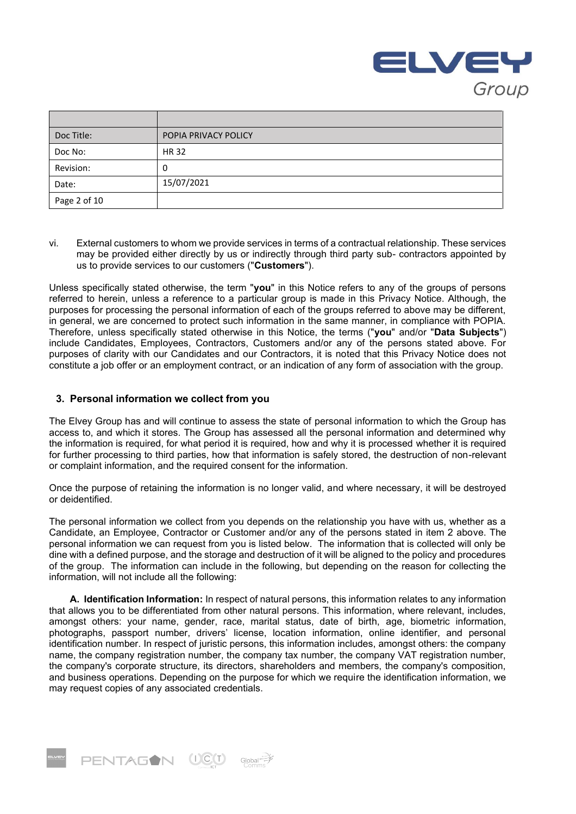

| Doc Title:   | POPIA PRIVACY POLICY |
|--------------|----------------------|
| Doc No:      | <b>HR32</b>          |
| Revision:    | 0                    |
| Date:        | 15/07/2021           |
| Page 2 of 10 |                      |

vi. External customers to whom we provide services in terms of a contractual relationship. These services may be provided either directly by us or indirectly through third party sub- contractors appointed by us to provide services to our customers ("**Customers**").

Unless specifically stated otherwise, the term "**you**" in this Notice refers to any of the groups of persons referred to herein, unless a reference to a particular group is made in this Privacy Notice. Although, the purposes for processing the personal information of each of the groups referred to above may be different, in general, we are concerned to protect such information in the same manner, in compliance with POPIA. Therefore, unless specifically stated otherwise in this Notice, the terms ("**you**" and/or "**Data Subjects**") include Candidates, Employees, Contractors, Customers and/or any of the persons stated above. For purposes of clarity with our Candidates and our Contractors, it is noted that this Privacy Notice does not constitute a job offer or an employment contract, or an indication of any form of association with the group.

## **3. Personal information we collect from you**

The Elvey Group has and will continue to assess the state of personal information to which the Group has access to, and which it stores. The Group has assessed all the personal information and determined why the information is required, for what period it is required, how and why it is processed whether it is required for further processing to third parties, how that information is safely stored, the destruction of non-relevant or complaint information, and the required consent for the information.

Once the purpose of retaining the information is no longer valid, and where necessary, it will be destroyed or deidentified.

The personal information we collect from you depends on the relationship you have with us, whether as a Candidate, an Employee, Contractor or Customer and/or any of the persons stated in item 2 above. The personal information we can request from you is listed below. The information that is collected will only be dine with a defined purpose, and the storage and destruction of it will be aligned to the policy and procedures of the group. The information can include in the following, but depending on the reason for collecting the information, will not include all the following:

**A. Identification Information:** In respect of natural persons, this information relates to any information that allows you to be differentiated from other natural persons. This information, where relevant, includes, amongst others: your name, gender, race, marital status, date of birth, age, biometric information, photographs, passport number, drivers' license, location information, online identifier, and personal identification number. In respect of juristic persons, this information includes, amongst others: the company name, the company registration number, the company tax number, the company VAT registration number, the company's corporate structure, its directors, shareholders and members, the company's composition, and business operations. Depending on the purpose for which we require the identification information, we may request copies of any associated credentials.

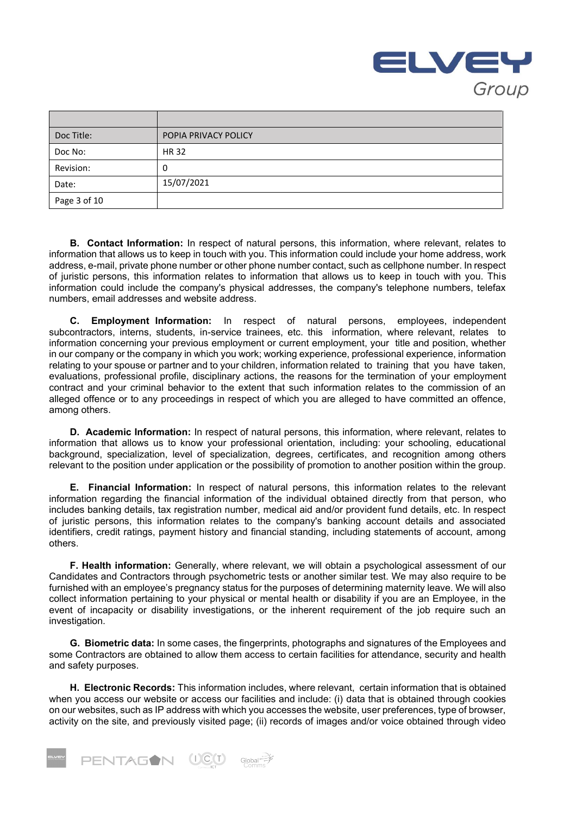

| Doc Title:   | POPIA PRIVACY POLICY |
|--------------|----------------------|
| Doc No:      | <b>HR 32</b>         |
| Revision:    | 0                    |
| Date:        | 15/07/2021           |
| Page 3 of 10 |                      |

**B. Contact Information:** In respect of natural persons, this information, where relevant, relates to information that allows us to keep in touch with you. This information could include your home address, work address, e-mail, private phone number or other phone number contact, such as cellphone number. In respect of juristic persons, this information relates to information that allows us to keep in touch with you. This information could include the company's physical addresses, the company's telephone numbers, telefax numbers, email addresses and website address.

**C. Employment Information:** In respect of natural persons, employees, independent subcontractors, interns, students, in-service trainees, etc. this information, where relevant, relates to information concerning your previous employment or current employment, your title and position, whether in our company or the company in which you work; working experience, professional experience, information relating to your spouse or partner and to your children, information related to training that you have taken, evaluations, professional profile, disciplinary actions, the reasons for the termination of your employment contract and your criminal behavior to the extent that such information relates to the commission of an alleged offence or to any proceedings in respect of which you are alleged to have committed an offence, among others.

**D. Academic Information:** In respect of natural persons, this information, where relevant, relates to information that allows us to know your professional orientation, including: your schooling, educational background, specialization, level of specialization, degrees, certificates, and recognition among others relevant to the position under application or the possibility of promotion to another position within the group.

**E. Financial Information:** In respect of natural persons, this information relates to the relevant information regarding the financial information of the individual obtained directly from that person, who includes banking details, tax registration number, medical aid and/or provident fund details, etc. In respect of juristic persons, this information relates to the company's banking account details and associated identifiers, credit ratings, payment history and financial standing, including statements of account, among others.

**F. Health information:** Generally, where relevant, we will obtain a psychological assessment of our Candidates and Contractors through psychometric tests or another similar test. We may also require to be furnished with an employee's pregnancy status for the purposes of determining maternity leave. We will also collect information pertaining to your physical or mental health or disability if you are an Employee, in the event of incapacity or disability investigations, or the inherent requirement of the job require such an investigation.

**G. Biometric data:** In some cases, the fingerprints, photographs and signatures of the Employees and some Contractors are obtained to allow them access to certain facilities for attendance, security and health and safety purposes.

**H. Electronic Records:** This information includes, where relevant, certain information that is obtained when you access our website or access our facilities and include: (i) data that is obtained through cookies on our websites, such as IP address with which you accesses the website, user preferences, type of browser, activity on the site, and previously visited page; (ii) records of images and/or voice obtained through video

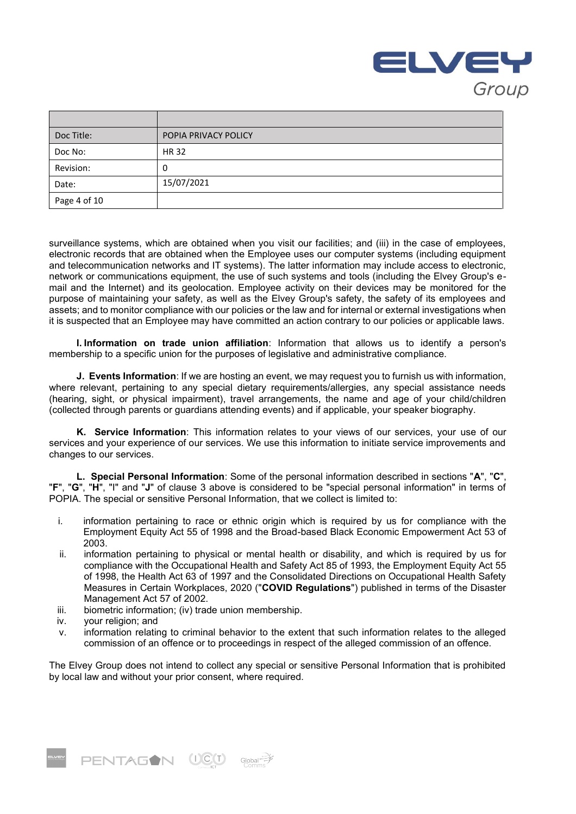

| Doc Title:   | POPIA PRIVACY POLICY |
|--------------|----------------------|
| Doc No:      | <b>HR32</b>          |
| Revision:    | 0                    |
| Date:        | 15/07/2021           |
| Page 4 of 10 |                      |

surveillance systems, which are obtained when you visit our facilities; and (iii) in the case of employees, electronic records that are obtained when the Employee uses our computer systems (including equipment and telecommunication networks and IT systems). The latter information may include access to electronic, network or communications equipment, the use of such systems and tools (including the Elvey Group's email and the Internet) and its geolocation. Employee activity on their devices may be monitored for the purpose of maintaining your safety, as well as the Elvey Group's safety, the safety of its employees and assets; and to monitor compliance with our policies or the law and for internal or external investigations when it is suspected that an Employee may have committed an action contrary to our policies or applicable laws.

**I. Information on trade union affiliation**: Information that allows us to identify a person's membership to a specific union for the purposes of legislative and administrative compliance.

**J. Events Information**: If we are hosting an event, we may request you to furnish us with information, where relevant, pertaining to any special dietary requirements/allergies, any special assistance needs (hearing, sight, or physical impairment), travel arrangements, the name and age of your child/children (collected through parents or guardians attending events) and if applicable, your speaker biography.

**K. Service Information**: This information relates to your views of our services, your use of our services and your experience of our services. We use this information to initiate service improvements and changes to our services.

**L. Special Personal Information**: Some of the personal information described in sections "**A**", "**C**", "**F**", "**G**", "**H**", "I" and "**J**" of clause 3 above is considered to be "special personal information" in terms of POPIA. The special or sensitive Personal Information, that we collect is limited to:

- i. information pertaining to race or ethnic origin which is required by us for compliance with the Employment Equity Act 55 of 1998 and the Broad-based Black Economic Empowerment Act 53 of 2003.
- ii. information pertaining to physical or mental health or disability, and which is required by us for compliance with the Occupational Health and Safety Act 85 of 1993, the Employment Equity Act 55 of 1998, the Health Act 63 of 1997 and the Consolidated Directions on Occupational Health Safety Measures in Certain Workplaces, 2020 ("**COVID Regulations**") published in terms of the Disaster Management Act 57 of 2002.
- iii. biometric information; (iv) trade union membership.
- iv. your religion; and
- v. information relating to criminal behavior to the extent that such information relates to the alleged commission of an offence or to proceedings in respect of the alleged commission of an offence.

The Elvey Group does not intend to collect any special or sensitive Personal Information that is prohibited by local law and without your prior consent, where required.

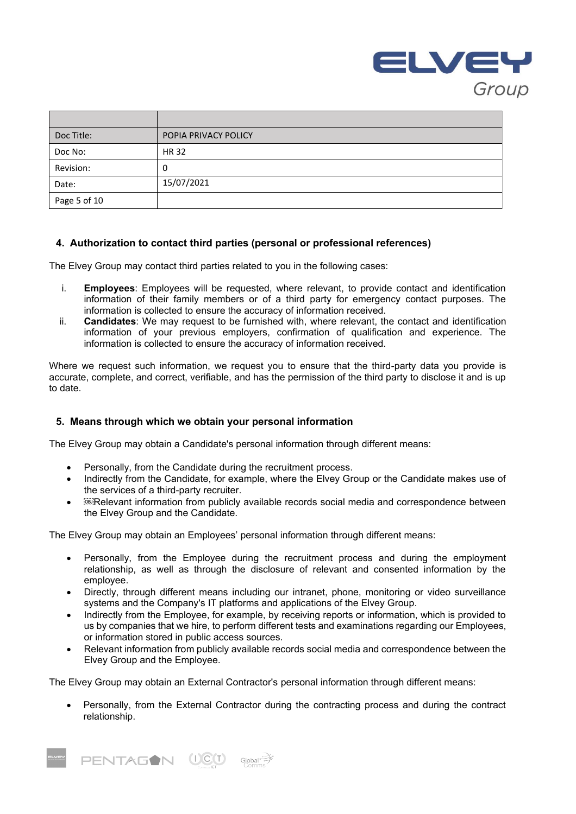

| Doc Title:   | POPIA PRIVACY POLICY |
|--------------|----------------------|
| Doc No:      | <b>HR32</b>          |
| Revision:    | 0                    |
| Date:        | 15/07/2021           |
| Page 5 of 10 |                      |

## **4. Authorization to contact third parties (personal or professional references)**

The Elvey Group may contact third parties related to you in the following cases:

- i. **Employees**: Employees will be requested, where relevant, to provide contact and identification information of their family members or of a third party for emergency contact purposes. The information is collected to ensure the accuracy of information received.
- ii. **Candidates**: We may request to be furnished with, where relevant, the contact and identification information of your previous employers, confirmation of qualification and experience. The information is collected to ensure the accuracy of information received.

Where we request such information, we request you to ensure that the third-party data you provide is accurate, complete, and correct, verifiable, and has the permission of the third party to disclose it and is up to date.

#### **5. Means through which we obtain your personal information**

The Elvey Group may obtain a Candidate's personal information through different means:

- Personally, from the Candidate during the recruitment process.
- Indirectly from the Candidate, for example, where the Elvey Group or the Candidate makes use of the services of a third-party recruiter.
- **Example 2 and information from publicly available records social media and correspondence between** the Elvey Group and the Candidate.

The Elvey Group may obtain an Employees' personal information through different means:

- Personally, from the Employee during the recruitment process and during the employment relationship, as well as through the disclosure of relevant and consented information by the employee.
- Directly, through different means including our intranet, phone, monitoring or video surveillance systems and the Company's IT platforms and applications of the Elvey Group.
- Indirectly from the Employee, for example, by receiving reports or information, which is provided to us by companies that we hire, to perform different tests and examinations regarding our Employees, or information stored in public access sources.
- Relevant information from publicly available records social media and correspondence between the Elvey Group and the Employee.

The Elvey Group may obtain an External Contractor's personal information through different means:

• Personally, from the External Contractor during the contracting process and during the contract relationship.

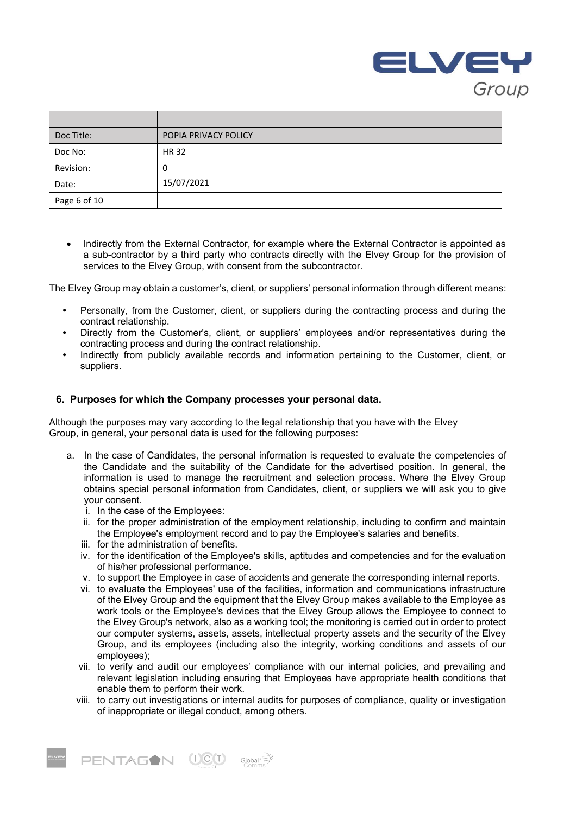

| Doc Title:   | POPIA PRIVACY POLICY |
|--------------|----------------------|
| Doc No:      | <b>HR32</b>          |
| Revision:    | 0                    |
| Date:        | 15/07/2021           |
| Page 6 of 10 |                      |

• Indirectly from the External Contractor, for example where the External Contractor is appointed as a sub-contractor by a third party who contracts directly with the Elvey Group for the provision of services to the Elvey Group, with consent from the subcontractor.

The Elvey Group may obtain a customer's, client, or suppliers' personal information through different means:

- **•** Personally, from the Customer, client, or suppliers during the contracting process and during the contract relationship.
- **•** Directly from the Customer's, client, or suppliers' employees and/or representatives during the contracting process and during the contract relationship.
- **•** Indirectly from publicly available records and information pertaining to the Customer, client, or suppliers.

## **6. Purposes for which the Company processes your personal data.**

Although the purposes may vary according to the legal relationship that you have with the Elvey Group, in general, your personal data is used for the following purposes:

- a. In the case of Candidates, the personal information is requested to evaluate the competencies of the Candidate and the suitability of the Candidate for the advertised position. In general, the information is used to manage the recruitment and selection process. Where the Elvey Group obtains special personal information from Candidates, client, or suppliers we will ask you to give your consent.
	- i. In the case of the Employees:
	- ii. for the proper administration of the employment relationship, including to confirm and maintain the Employee's employment record and to pay the Employee's salaries and benefits.
	- iii. for the administration of benefits.
	- iv. for the identification of the Employee's skills, aptitudes and competencies and for the evaluation of his/her professional performance.
	- v. to support the Employee in case of accidents and generate the corresponding internal reports.
	- vi. to evaluate the Employees' use of the facilities, information and communications infrastructure of the Elvey Group and the equipment that the Elvey Group makes available to the Employee as work tools or the Employee's devices that the Elvey Group allows the Employee to connect to the Elvey Group's network, also as a working tool; the monitoring is carried out in order to protect our computer systems, assets, assets, intellectual property assets and the security of the Elvey Group, and its employees (including also the integrity, working conditions and assets of our employees);
	- vii. to verify and audit our employees' compliance with our internal policies, and prevailing and relevant legislation including ensuring that Employees have appropriate health conditions that enable them to perform their work.
	- viii. to carry out investigations or internal audits for purposes of compliance, quality or investigation of inappropriate or illegal conduct, among others.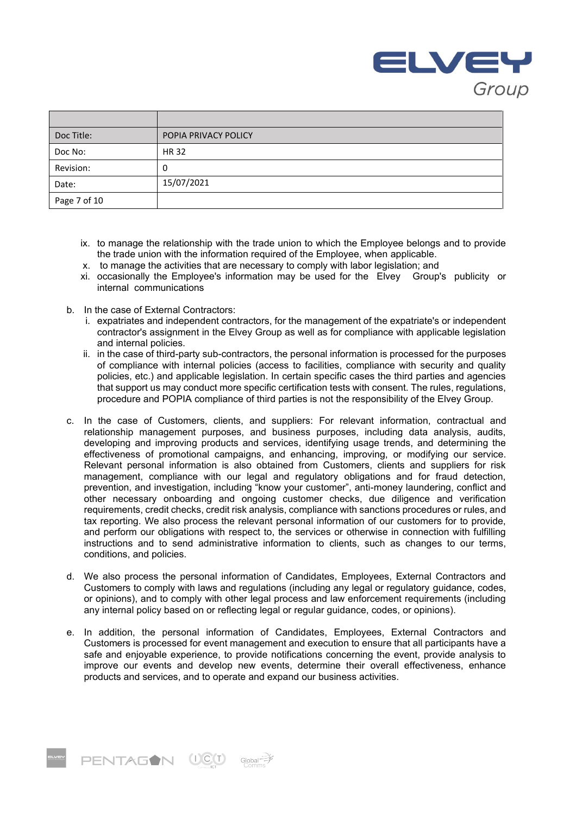

| Doc Title:   | POPIA PRIVACY POLICY |
|--------------|----------------------|
| Doc No:      | <b>HR32</b>          |
| Revision:    | 0                    |
| Date:        | 15/07/2021           |
| Page 7 of 10 |                      |

- ix. to manage the relationship with the trade union to which the Employee belongs and to provide the trade union with the information required of the Employee, when applicable.
- x. to manage the activities that are necessary to comply with labor legislation; and
- xi. occasionally the Employee's information may be used for the Elvey Group's publicity or internal communications
- b. In the case of External Contractors:
	- i. expatriates and independent contractors, for the management of the expatriate's or independent contractor's assignment in the Elvey Group as well as for compliance with applicable legislation and internal policies.
	- ii. in the case of third-party sub-contractors, the personal information is processed for the purposes of compliance with internal policies (access to facilities, compliance with security and quality policies, etc.) and applicable legislation. In certain specific cases the third parties and agencies that support us may conduct more specific certification tests with consent. The rules, regulations, procedure and POPIA compliance of third parties is not the responsibility of the Elvey Group.
- c. In the case of Customers, clients, and suppliers: For relevant information, contractual and relationship management purposes, and business purposes, including data analysis, audits, developing and improving products and services, identifying usage trends, and determining the effectiveness of promotional campaigns, and enhancing, improving, or modifying our service. Relevant personal information is also obtained from Customers, clients and suppliers for risk management, compliance with our legal and regulatory obligations and for fraud detection, prevention, and investigation, including "know your customer", anti-money laundering, conflict and other necessary onboarding and ongoing customer checks, due diligence and verification requirements, credit checks, credit risk analysis, compliance with sanctions procedures or rules, and tax reporting. We also process the relevant personal information of our customers for to provide, and perform our obligations with respect to, the services or otherwise in connection with fulfilling instructions and to send administrative information to clients, such as changes to our terms, conditions, and policies.
- d. We also process the personal information of Candidates, Employees, External Contractors and Customers to comply with laws and regulations (including any legal or regulatory guidance, codes, or opinions), and to comply with other legal process and law enforcement requirements (including any internal policy based on or reflecting legal or regular guidance, codes, or opinions).
- e. In addition, the personal information of Candidates, Employees, External Contractors and Customers is processed for event management and execution to ensure that all participants have a safe and enjoyable experience, to provide notifications concerning the event, provide analysis to improve our events and develop new events, determine their overall effectiveness, enhance products and services, and to operate and expand our business activities.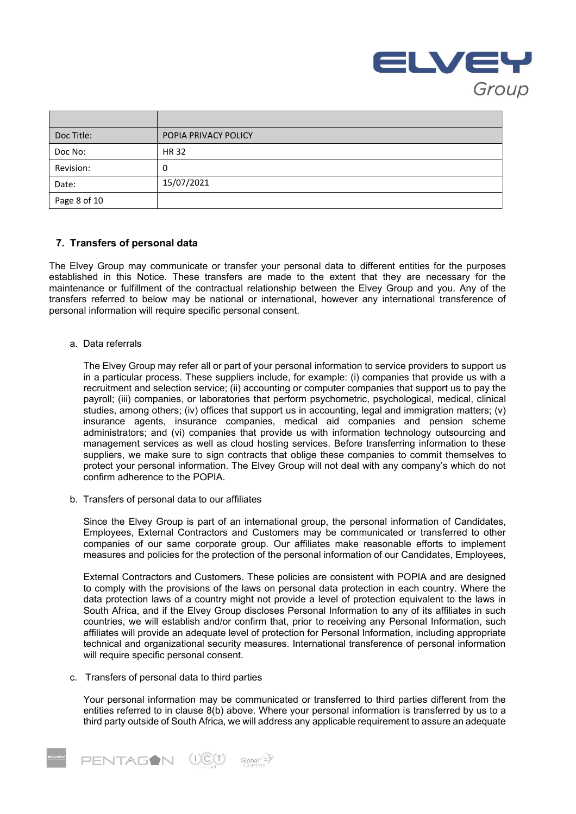

| Doc Title:   | POPIA PRIVACY POLICY |
|--------------|----------------------|
| Doc No:      | <b>HR32</b>          |
| Revision:    | υ                    |
| Date:        | 15/07/2021           |
| Page 8 of 10 |                      |

## **7. Transfers of personal data**

The Elvey Group may communicate or transfer your personal data to different entities for the purposes established in this Notice. These transfers are made to the extent that they are necessary for the maintenance or fulfillment of the contractual relationship between the Elvey Group and you. Any of the transfers referred to below may be national or international, however any international transference of personal information will require specific personal consent.

a. Data referrals

The Elvey Group may refer all or part of your personal information to service providers to support us in a particular process. These suppliers include, for example: (i) companies that provide us with a recruitment and selection service; (ii) accounting or computer companies that support us to pay the payroll; (iii) companies, or laboratories that perform psychometric, psychological, medical, clinical studies, among others; (iv) offices that support us in accounting, legal and immigration matters; (v) insurance agents, insurance companies, medical aid companies and pension scheme administrators; and (vi) companies that provide us with information technology outsourcing and management services as well as cloud hosting services. Before transferring information to these suppliers, we make sure to sign contracts that oblige these companies to commit themselves to protect your personal information. The Elvey Group will not deal with any company's which do not confirm adherence to the POPIA.

b. Transfers of personal data to our affiliates

Since the Elvey Group is part of an international group, the personal information of Candidates, Employees, External Contractors and Customers may be communicated or transferred to other companies of our same corporate group. Our affiliates make reasonable efforts to implement measures and policies for the protection of the personal information of our Candidates, Employees,

External Contractors and Customers. These policies are consistent with POPIA and are designed to comply with the provisions of the laws on personal data protection in each country. Where the data protection laws of a country might not provide a level of protection equivalent to the laws in South Africa, and if the Elvey Group discloses Personal Information to any of its affiliates in such countries, we will establish and/or confirm that, prior to receiving any Personal Information, such affiliates will provide an adequate level of protection for Personal Information, including appropriate technical and organizational security measures. International transference of personal information will require specific personal consent.

c. Transfers of personal data to third parties

Your personal information may be communicated or transferred to third parties different from the entities referred to in clause 8(b) above. Where your personal information is transferred by us to a third party outside of South Africa, we will address any applicable requirement to assure an adequate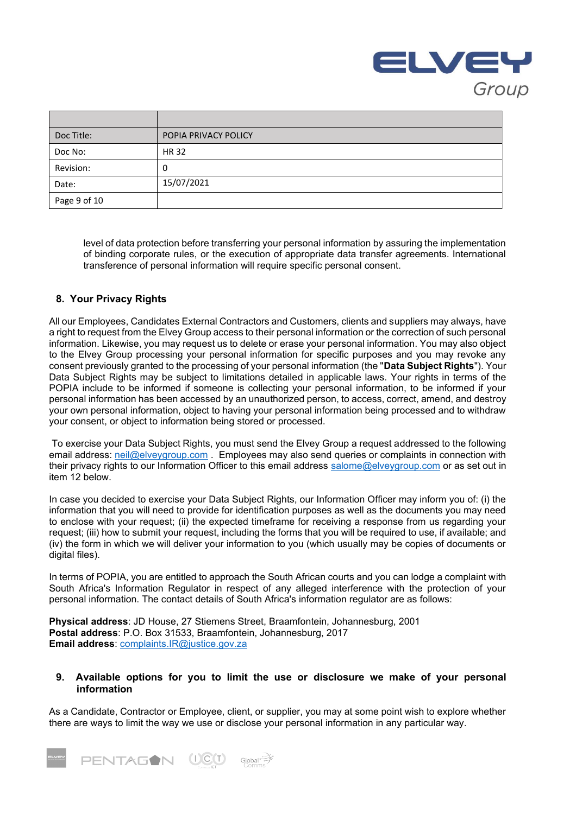

| Doc Title:   | POPIA PRIVACY POLICY |
|--------------|----------------------|
| Doc No:      | HR 32                |
| Revision:    | 0                    |
| Date:        | 15/07/2021           |
| Page 9 of 10 |                      |

level of data protection before transferring your personal information by assuring the implementation of binding corporate rules, or the execution of appropriate data transfer agreements. International transference of personal information will require specific personal consent.

# **8. Your Privacy Rights**

All our Employees, Candidates External Contractors and Customers, clients and suppliers may always, have a right to request from the Elvey Group access to their personal information or the correction of such personal information. Likewise, you may request us to delete or erase your personal information. You may also object to the Elvey Group processing your personal information for specific purposes and you may revoke any consent previously granted to the processing of your personal information (the "**Data Subject Rights**"). Your Data Subject Rights may be subject to limitations detailed in applicable laws. Your rights in terms of the POPIA include to be informed if someone is collecting your personal information, to be informed if your personal information has been accessed by an unauthorized person, to access, correct, amend, and destroy your own personal information, object to having your personal information being processed and to withdraw your consent, or object to information being stored or processed.

To exercise your Data Subject Rights, you must send the Elvey Group a request addressed to the following email address: [neil@elveygroup.com](mailto:neil@elveygroup.com) . Employees may also send queries or complaints in connection with their privacy rights to our Information Officer to this email address [salome@elveygroup.com](mailto:salome@elveygroup.com) or as set out in item 12 below.

In case you decided to exercise your Data Subject Rights, our Information Officer may inform you of: (i) the information that you will need to provide for identification purposes as well as the documents you may need to enclose with your request; (ii) the expected timeframe for receiving a response from us regarding your request; (iii) how to submit your request, including the forms that you will be required to use, if available; and (iv) the form in which we will deliver your information to you (which usually may be copies of documents or digital files).

In terms of POPIA, you are entitled to approach the South African courts and you can lodge a complaint with South Africa's Information Regulator in respect of any alleged interference with the protection of your personal information. The contact details of South Africa's information regulator are as follows:

**Physical address**: JD House, 27 Stiemens Street, Braamfontein, Johannesburg, 2001 **Postal address**: P.O. Box 31533, Braamfontein, Johannesburg, 2017 **Email address**: [complaints.IR@justice.gov.za](mailto:complaints.IR@justice.gov.za)

**PENTAGON UCU** Global<sup>2</sup>

## **9. Available options for you to limit the use or disclosure we make of your personal information**

As a Candidate, Contractor or Employee, client, or supplier, you may at some point wish to explore whether there are ways to limit the way we use or disclose your personal information in any particular way.